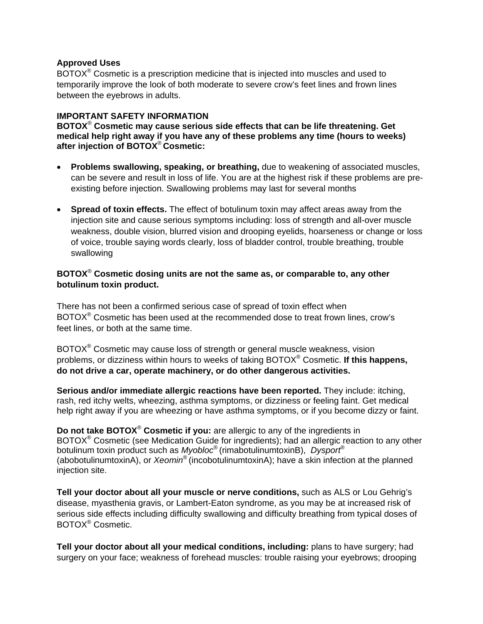## **Approved Uses**

 $BOTOX^{\circledast}$  Cosmetic is a prescription medicine that is injected into muscles and used to temporarily improve the look of both moderate to severe crow's feet lines and frown lines between the eyebrows in adults.

## **IMPORTANT SAFETY INFORMATION**

**BOTOX**® **Cosmetic may cause serious side effects that can be life threatening. Get medical help right away if you have any of these problems any time (hours to weeks) after injection of BOTOX**® **Cosmetic:** 

- **Problems swallowing, speaking, or breathing, due to weakening of associated muscles,** can be severe and result in loss of life. You are at the highest risk if these problems are preexisting before injection. Swallowing problems may last for several months
- **Spread of toxin effects.** The effect of botulinum toxin may affect areas away from the injection site and cause serious symptoms including: loss of strength and all-over muscle weakness, double vision, blurred vision and drooping eyelids, hoarseness or change or loss of voice, trouble saying words clearly, loss of bladder control, trouble breathing, trouble swallowing

## **BOTOX**® **Cosmetic dosing units are not the same as, or comparable to, any other botulinum toxin product.**

There has not been a confirmed serious case of spread of toxin effect when BOTOX® Cosmetic has been used at the recommended dose to treat frown lines, crow's feet lines, or both at the same time.

BOTOX® Cosmetic may cause loss of strength or general muscle weakness, vision problems, or dizziness within hours to weeks of taking BOTOX® Cosmetic. **If this happens, do not drive a car, operate machinery, or do other dangerous activities.**

**Serious and/or immediate allergic reactions have been reported.** They include: itching, rash, red itchy welts, wheezing, asthma symptoms, or dizziness or feeling faint. Get medical help right away if you are wheezing or have asthma symptoms, or if you become dizzy or faint.

**Do not take BOTOX**® **Cosmetic if you:** are allergic to any of the ingredients in BOTOX® Cosmetic (see Medication Guide for ingredients); had an allergic reaction to any other botulinum toxin product such as *Myobloc*® (rimabotulinumtoxinB), *Dysport*® (abobotulinumtoxinA), or *Xeomin*® (incobotulinumtoxinA); have a skin infection at the planned injection site.

**Tell your doctor about all your muscle or nerve conditions,** such as ALS or Lou Gehrig's disease, myasthenia gravis, or Lambert-Eaton syndrome, as you may be at increased risk of serious side effects including difficulty swallowing and difficulty breathing from typical doses of BOTOX® Cosmetic.

**Tell your doctor about all your medical conditions, including:** plans to have surgery; had surgery on your face; weakness of forehead muscles: trouble raising your eyebrows; drooping